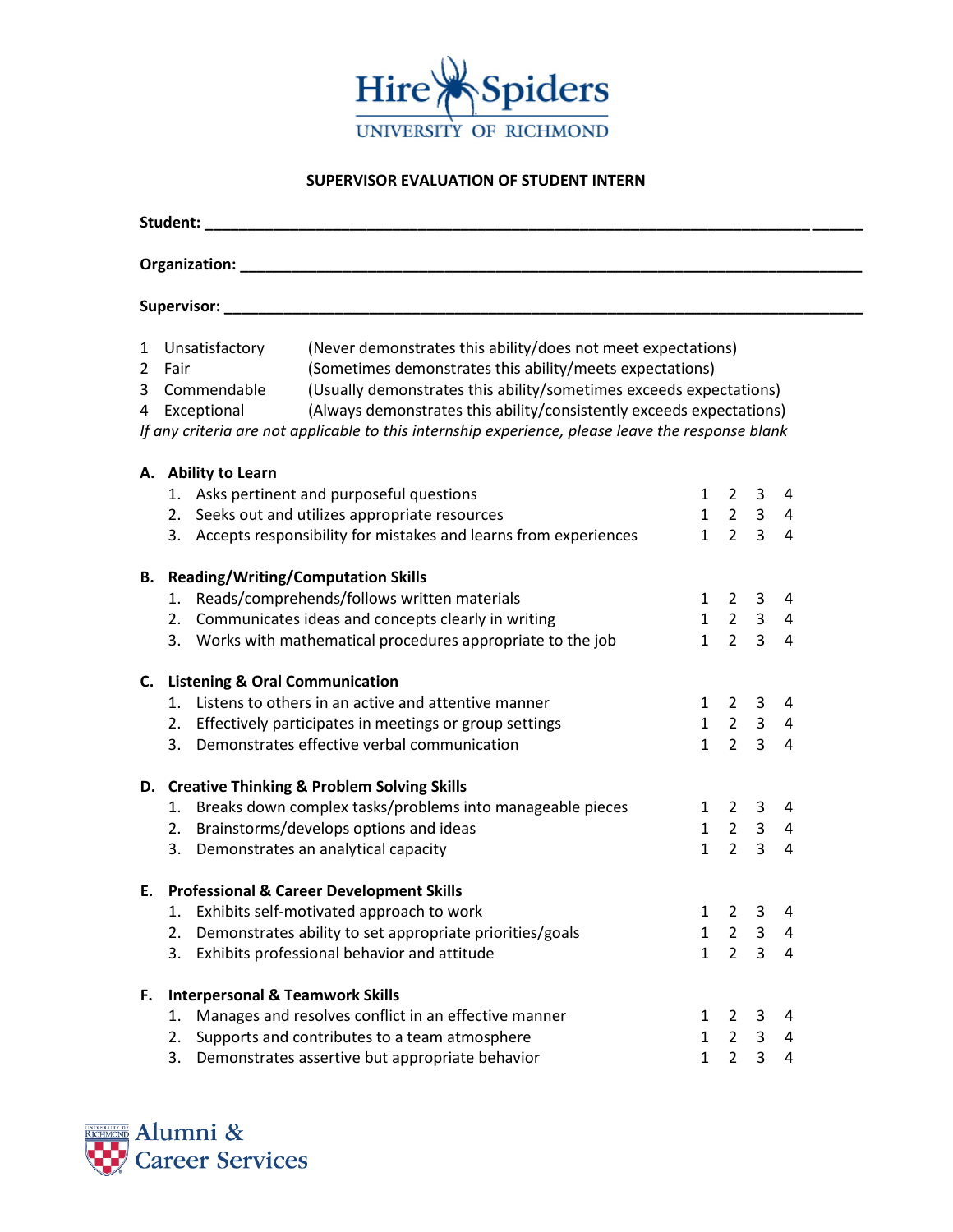

## **SUPERVISOR EVALUATION OF STUDENT INTERN**

| Student: _                                                                                                                                                                                                                                                                                                                                                                                                                                            |                              |                                                                   |                          |                          |  |  |  |  |  |
|-------------------------------------------------------------------------------------------------------------------------------------------------------------------------------------------------------------------------------------------------------------------------------------------------------------------------------------------------------------------------------------------------------------------------------------------------------|------------------------------|-------------------------------------------------------------------|--------------------------|--------------------------|--|--|--|--|--|
|                                                                                                                                                                                                                                                                                                                                                                                                                                                       |                              |                                                                   |                          |                          |  |  |  |  |  |
|                                                                                                                                                                                                                                                                                                                                                                                                                                                       |                              |                                                                   |                          |                          |  |  |  |  |  |
| (Never demonstrates this ability/does not meet expectations)<br>Unsatisfactory<br>1<br>(Sometimes demonstrates this ability/meets expectations)<br>2 Fair<br>Commendable<br>(Usually demonstrates this ability/sometimes exceeds expectations)<br>3.<br>(Always demonstrates this ability/consistently exceeds expectations)<br>Exceptional<br>4<br>If any criteria are not applicable to this internship experience, please leave the response blank |                              |                                                                   |                          |                          |  |  |  |  |  |
| A. Ability to Learn<br>1. Asks pertinent and purposeful questions<br>$1\quad 2\quad 3$<br>4<br>$1 \quad 2 \quad 3 \quad 4$<br>2. Seeks out and utilizes appropriate resources<br>3. Accepts responsibility for mistakes and learns from experiences<br>$1\quad 2$<br>$\overline{3}$<br>$\overline{4}$                                                                                                                                                 |                              |                                                                   |                          |                          |  |  |  |  |  |
| <b>B.</b> Reading/Writing/Computation Skills<br>Reads/comprehends/follows written materials<br>1.<br>2. Communicates ideas and concepts clearly in writing<br>3. Works with mathematical procedures appropriate to the job                                                                                                                                                                                                                            |                              | $1 \quad 2 \quad 3$<br>$1 \quad 2 \quad 3$<br>$1 \quad 2 \quad 3$ |                          | 4<br>4<br>$\overline{4}$ |  |  |  |  |  |
| C. Listening & Oral Communication<br>Listens to others in an active and attentive manner<br>1.<br>$1\quad 2$<br>3<br>4<br>$1 \quad 2 \quad 3$<br>2. Effectively participates in meetings or group settings<br>$\overline{4}$<br>$1 \quad 2 \quad 3$<br>Demonstrates effective verbal communication<br>3.<br>$\overline{4}$                                                                                                                            |                              |                                                                   |                          |                          |  |  |  |  |  |
| D. Creative Thinking & Problem Solving Skills<br>1. Breaks down complex tasks/problems into manageable pieces<br>2. Brainstorms/develops options and ideas<br>3. Demonstrates an analytical capacity                                                                                                                                                                                                                                                  | $\mathbf{1}$                 | 1 2 3<br>$1 \quad 2 \quad 3 \quad 4$<br>$2^{\circ}$               | $\overline{3}$           | 4<br>$\overline{4}$      |  |  |  |  |  |
| E. Professional & Career Development Skills<br>1. Exhibits self-motivated approach to work<br>Demonstrates ability to set appropriate priorities/goals<br>2.<br>Exhibits professional behavior and attitude<br>3.                                                                                                                                                                                                                                     | $\mathbf{1}$<br>$\mathbf{1}$ | $1 \quad 2 \quad 3 \quad 4$<br>$\overline{2}$<br>$\overline{2}$   | 3<br>3                   | 4<br>4                   |  |  |  |  |  |
| <b>Interpersonal &amp; Teamwork Skills</b><br>F.<br>Manages and resolves conflict in an effective manner<br>1.<br>Supports and contributes to a team atmosphere<br>2.<br>Demonstrates assertive but appropriate behavior<br>3.                                                                                                                                                                                                                        | 1<br>1<br>$\mathbf{1}$       | 2<br>$\overline{2}$<br>$\overline{2}$                             | 3<br>3<br>$\overline{3}$ | 4<br>4<br>4              |  |  |  |  |  |

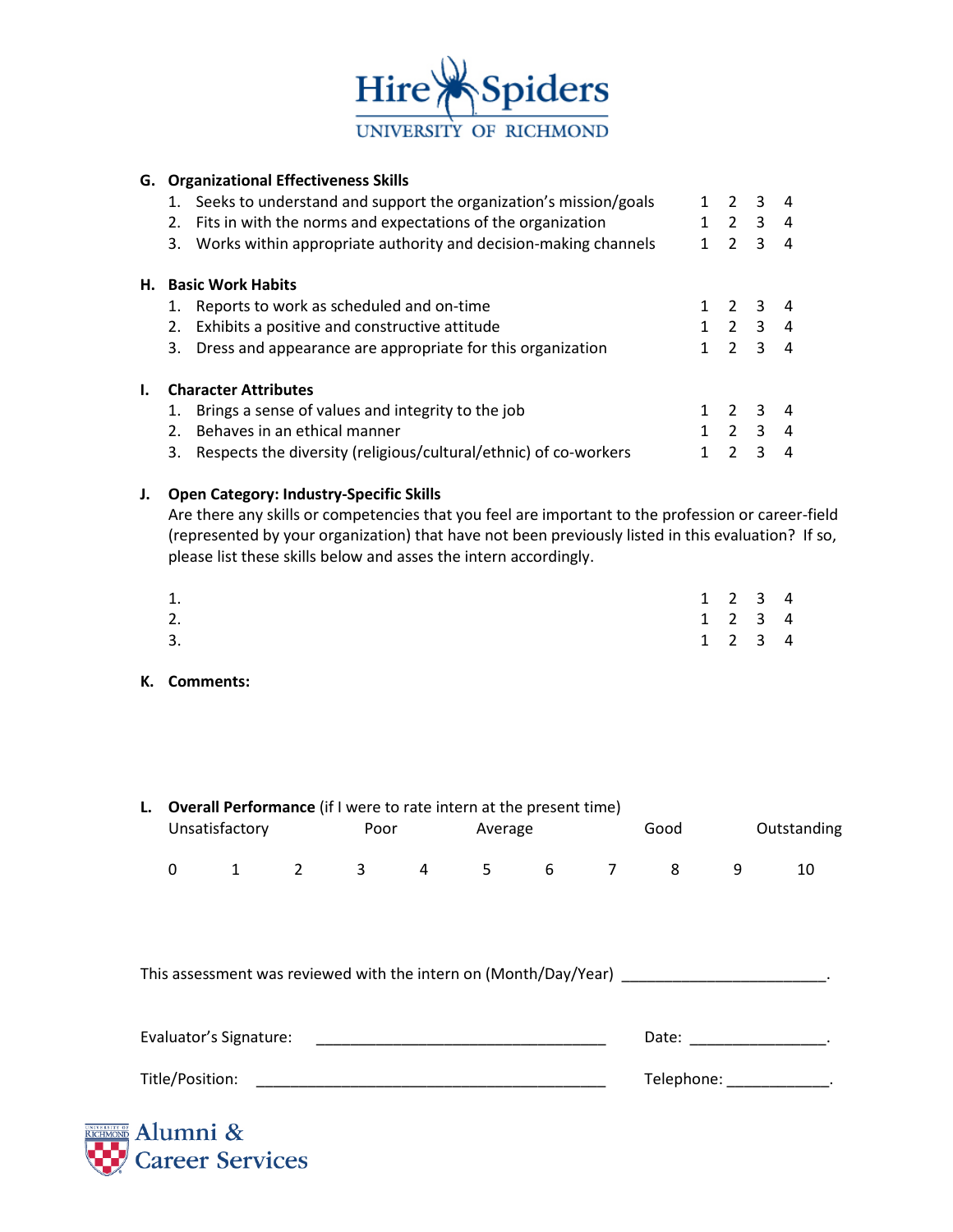

## **G. Organizational Effectiveness Skills**

|    |                | Seeks to understand and support the organization's mission/goals | $\mathcal{L}$ | 3              | $\overline{4}$         |
|----|----------------|------------------------------------------------------------------|---------------|----------------|------------------------|
|    | 2.             | Fits in with the norms and expectations of the organization      | 2             | 3              | 4                      |
|    | 3.             | Works within appropriate authority and decision-making channels  | $\mathcal{P}$ | 3              | $\overline{a}$         |
| Н. |                | <b>Basic Work Habits</b>                                         |               |                |                        |
|    | 1.             | Reports to work as scheduled and on-time                         | 2 3           |                | 4                      |
|    | 2.             | Exhibits a positive and constructive attitude                    |               | 2 <sup>3</sup> | 4                      |
|    | 3.             | Dress and appearance are appropriate for this organization       | $\mathcal{P}$ | २              | $\boldsymbol{\Lambda}$ |
| ı. |                | <b>Character Attributes</b>                                      |               |                |                        |
|    | 1.             | Brings a sense of values and integrity to the job                | $\mathcal{P}$ | २              | 4                      |
|    | 2 <sub>1</sub> | Behaves in an ethical manner                                     | $\mathcal{P}$ | २              | $\boldsymbol{\Lambda}$ |
|    | 3.             | Respects the diversity (religious/cultural/ethnic) of co-workers | $\mathcal{P}$ | Κ              | 4                      |

## **J. Open Category: Industry-Specific Skills**

Are there any skills or competencies that you feel are important to the profession or career-field (represented by your organization) that have not been previously listed in this evaluation? If so, please list these skills below and asses the intern accordingly.

| 1. |  | $1 \t2 \t3 \t4$             |  |
|----|--|-----------------------------|--|
| 2. |  | $1 \quad 2 \quad 3 \quad 4$ |  |
| 3. |  | $1 \quad 2 \quad 3 \quad 4$ |  |

**K. Comments:**

|                                                                                                                                         | L. Overall Performance (if I were to rate intern at the present time)<br>Unsatisfactory |  | <b>Example 19 Poor</b> |  | Average |  |                       | Good                                                                                                                                                                                                                           |                 | Outstanding |    |  |
|-----------------------------------------------------------------------------------------------------------------------------------------|-----------------------------------------------------------------------------------------|--|------------------------|--|---------|--|-----------------------|--------------------------------------------------------------------------------------------------------------------------------------------------------------------------------------------------------------------------------|-----------------|-------------|----|--|
|                                                                                                                                         | 0                                                                                       |  |                        |  |         |  |                       |                                                                                                                                                                                                                                | 1 2 3 4 5 6 7 8 | 9           | 10 |  |
|                                                                                                                                         |                                                                                         |  |                        |  |         |  |                       |                                                                                                                                                                                                                                |                 |             |    |  |
| This assessment was reviewed with the intern on (Month/Day/Year)                                                                        |                                                                                         |  |                        |  |         |  |                       |                                                                                                                                                                                                                                |                 |             |    |  |
|                                                                                                                                         |                                                                                         |  |                        |  |         |  |                       | Date: the contract of the contract of the contract of the contract of the contract of the contract of the contract of the contract of the contract of the contract of the contract of the contract of the contract of the cont |                 |             |    |  |
| Title/Position:<br><u> 1980 - Jan Sterling von de Sterling von de Sterling von de Sterling von de Sterling von de Sterling von de S</u> |                                                                                         |  |                        |  |         |  | Telephone: Telephone: |                                                                                                                                                                                                                                |                 |             |    |  |
|                                                                                                                                         |                                                                                         |  |                        |  |         |  |                       |                                                                                                                                                                                                                                |                 |             |    |  |